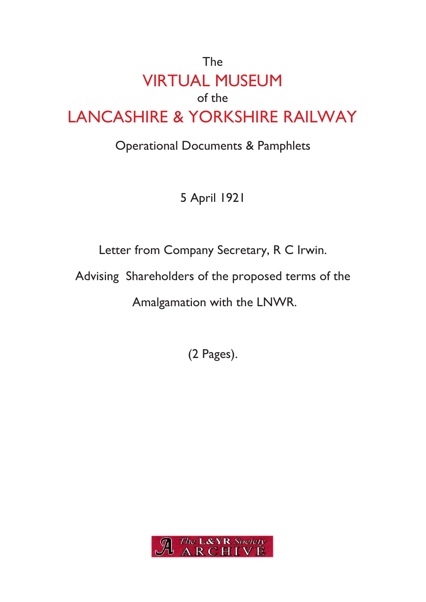## The VIRTUAL MUSEUM of the LANCASHIRE & YORKSHIRE RAILWAY

## Operational Documents & Pamphlets

5 April 1921

Letter from Company Secretary, R C Irwin.

Advising Shareholders of the proposed terms of the

Amalgamation with the LNWR.

(2 Pages).

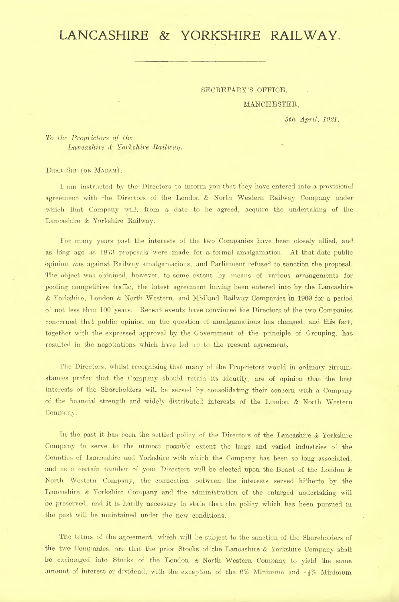## LANCASHIRE & YORKSHIRE RAILWAY,

SECRETARY'S OFFICE

MANCHESTER

*5th April*, *1921.*

*To the Proprietors of the Lancashire* & *Yorkshire Railway*.

DEAR SIR (OR MADAM),

I am instructed by the Directors to inform you that they have entered into- <sup>a</sup> provisional agreement with the Directors of the London & North Western Railway Company under which that Company will, from a date to be agreed, acquire the undertaking of the Lancashire & Yorkshire Railway.

For many years past the interests of the two Companies have been closely allied, and as long ago as 1873 proposals were made for a formal amalgamation. At that date publicopinion was against Railway amalgamations, and Parliament refused to sanction the proposal. The object was obtained, however, to some extent by means of various arrangements for pooling competitive traffic, the latest agreement having been entered into by the Lancashire & Yorkshire, London & North Western, and Midland Railway Companies in 1909 for a period of not less than 100 years. Recent events have convinced the Directors of the two Companies concerned that public opinion on the question of amalgamations has changed, and this fact, together with the expressed approval by the Government of the principle of Grouping, has resulted in the negotiations which have led up to the present agreement.

The Directors, whilst recognising that many of the Proprietors would in ordinary circumstances prefer that the Company should retain its identity, are of opinion that the best interests of the Shareholders will be served by consolidating their concern with a Company of the financial strength and widely distributed interests of the London *&* North Western Company.

In the past it has been the settled policy of the Directors of the Lancashire & Yorkshire Company to serve to the utmost possible extent the large and varied industries of the Counties of Lancashire and Yorkshire with which the Company has been so long associated, and as a. certain number of your Directors will be elected upon the Board of the London & North Western Company, the connection between the interests served hitherto by the Lancashire *&* Yorkshire Company and the administration of the enlarged undertaking will be preserved, and it is hardly necessary to state that the policy which has been pursued in the past will be maintained under the new conditions.

The terms of the agreement, which will be subject to the sanction of the Shareholders of the two Companies, are that the prior Stocks of the Lancashire & Yorkshire Company shall be exchanged into Stocks of the London *&* North Western Company to yield the sameamount of interest or dividend, with the exception of the 6% Minimum and *U %* Minimum